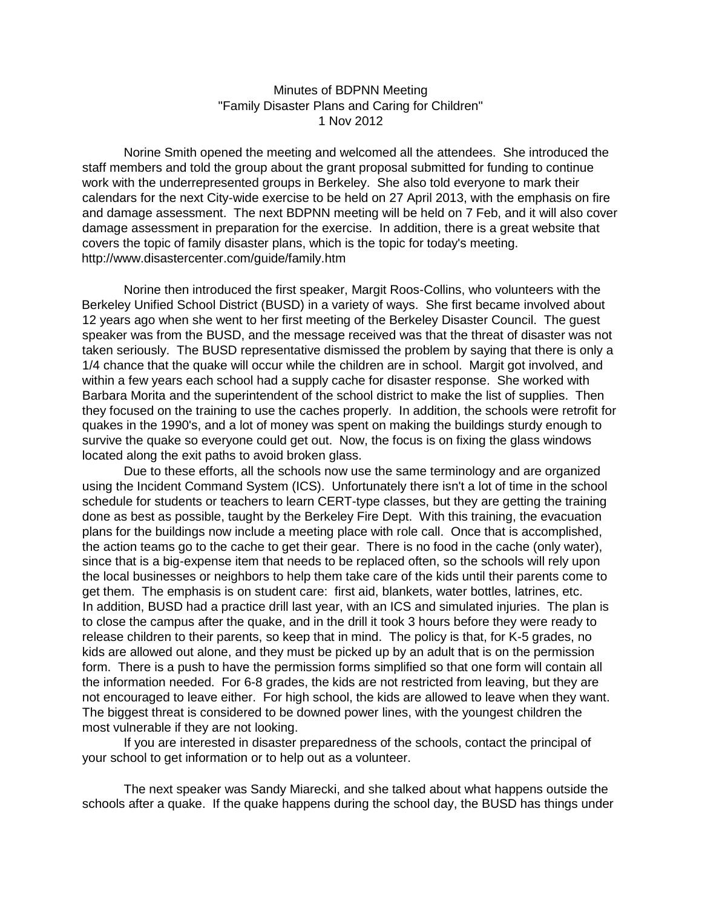## Minutes of BDPNN Meeting "Family Disaster Plans and Caring for Children" 1 Nov 2012

Norine Smith opened the meeting and welcomed all the attendees. She introduced the staff members and told the group about the grant proposal submitted for funding to continue work with the underrepresented groups in Berkeley. She also told everyone to mark their calendars for the next City-wide exercise to be held on 27 April 2013, with the emphasis on fire and damage assessment. The next BDPNN meeting will be held on 7 Feb, and it will also cover damage assessment in preparation for the exercise. In addition, there is a great website that covers the topic of family disaster plans, which is the topic for today's meeting. http://www.disastercenter.com/guide/family.htm

Norine then introduced the first speaker, Margit Roos-Collins, who volunteers with the Berkeley Unified School District (BUSD) in a variety of ways. She first became involved about 12 years ago when she went to her first meeting of the Berkeley Disaster Council. The guest speaker was from the BUSD, and the message received was that the threat of disaster was not taken seriously. The BUSD representative dismissed the problem by saying that there is only a 1/4 chance that the quake will occur while the children are in school. Margit got involved, and within a few years each school had a supply cache for disaster response. She worked with Barbara Morita and the superintendent of the school district to make the list of supplies. Then they focused on the training to use the caches properly. In addition, the schools were retrofit for quakes in the 1990's, and a lot of money was spent on making the buildings sturdy enough to survive the quake so everyone could get out. Now, the focus is on fixing the glass windows located along the exit paths to avoid broken glass.

Due to these efforts, all the schools now use the same terminology and are organized using the Incident Command System (ICS). Unfortunately there isn't a lot of time in the school schedule for students or teachers to learn CERT-type classes, but they are getting the training done as best as possible, taught by the Berkeley Fire Dept. With this training, the evacuation plans for the buildings now include a meeting place with role call. Once that is accomplished, the action teams go to the cache to get their gear. There is no food in the cache (only water), since that is a big-expense item that needs to be replaced often, so the schools will rely upon the local businesses or neighbors to help them take care of the kids until their parents come to get them. The emphasis is on student care: first aid, blankets, water bottles, latrines, etc. In addition, BUSD had a practice drill last year, with an ICS and simulated injuries. The plan is to close the campus after the quake, and in the drill it took 3 hours before they were ready to release children to their parents, so keep that in mind. The policy is that, for K-5 grades, no kids are allowed out alone, and they must be picked up by an adult that is on the permission form. There is a push to have the permission forms simplified so that one form will contain all the information needed. For 6-8 grades, the kids are not restricted from leaving, but they are not encouraged to leave either. For high school, the kids are allowed to leave when they want. The biggest threat is considered to be downed power lines, with the youngest children the most vulnerable if they are not looking.

If you are interested in disaster preparedness of the schools, contact the principal of your school to get information or to help out as a volunteer.

The next speaker was Sandy Miarecki, and she talked about what happens outside the schools after a quake. If the quake happens during the school day, the BUSD has things under